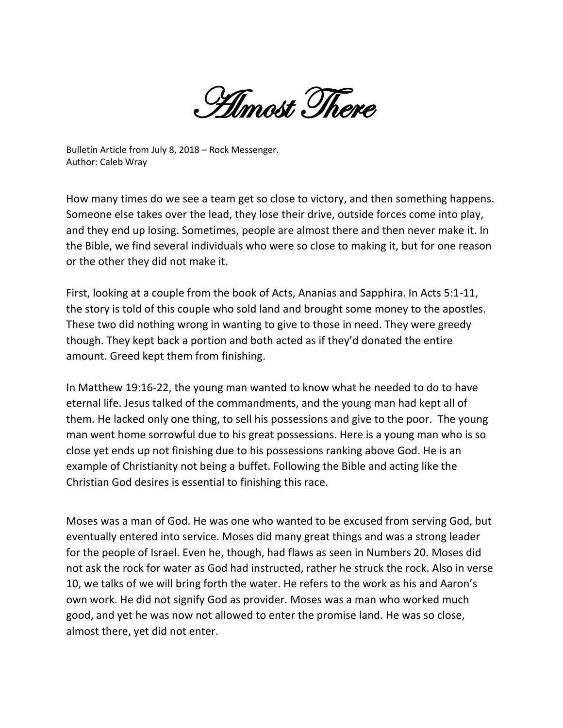Almost There

Bulletin Article from July 8, 2018 – Rock Messenger. Author: Caleb Wray

How many times do we see a team get so close to victory, and then something happens. Someone else takes over the lead, they lose their drive, outside forces come into play, and they end up losing. Sometimes, people are almost there and then never make it. In the Bible, we find several individuals who were so close to making it, but for one reason or the other they did not make it.

First, looking at a couple from the book of Acts, Ananias and Sapphira. In Acts 5:1-11, the story is told of this couple who sold land and brought some money to the apostles. These two did nothing wrong in wanting to give to those in need. They were greedy though. They kept back a portion and both acted as if they'd donated the entire amount. Greed kept them from finishing.

In Matthew 19:16-22, the young man wanted to know what he needed to do to have eternal life. Jesus talked of the commandments, and the young man had kept all of them. He lacked only one thing, to sell his possessions and give to the poor. The young man went home sorrowful due to his great possessions. Here is a young man who is so close yet ends up not finishing due to his possessions ranking above God. He is an example of Christianity not being a buffet. Following the Bible and acting like the Christian God desires is essential to finishing this race.

Moses was a man of God. He was one who wanted to be excused from serving God, but eventually entered into service. Moses did many great things and was a strong leader for the people of Israel. Even he, though, had flaws as seen in Numbers 20. Moses did not ask the rock for water as God had instructed, rather he struck the rock. Also in verse 10, we talks of we will bring forth the water. He refers to the work as his and Aaron's own work. He did not signify God as provider. Moses was a man who worked much good, and yet he was now not allowed to enter the promise land. He was so close, almost there, yet did not enter.